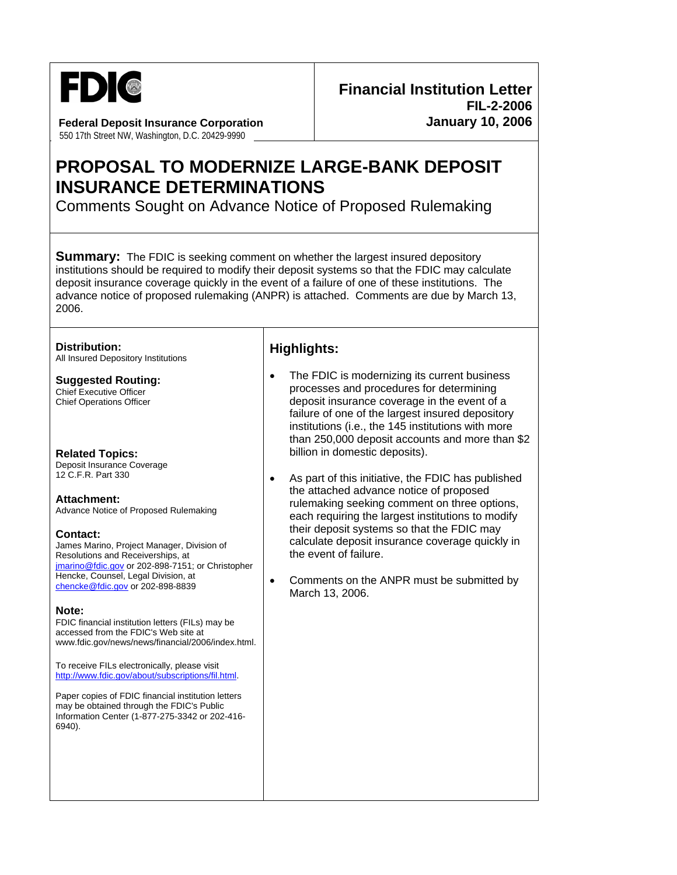

**Federal Deposit Insurance Corporation**  550 17th Street NW, Washington, D.C. 20429-9990

# **PROPOSAL TO MODERNIZE LARGE-BANK DEPOSIT INSURANCE DETERMINATIONS**

Comments Sought on Advance Notice of Proposed Rulemaking

**Summary:** The FDIC is seeking comment on whether the largest insured depository institutions should be required to modify their deposit systems so that the FDIC may calculate deposit insurance coverage quickly in the event of a failure of one of these institutions. The advance notice of proposed rulemaking (ANPR) is attached. Comments are due by March 13, 2006.

#### **Distribution:**

All Insured Depository Institutions

### **Suggested Routing:**

Chief Executive Officer Chief Operations Officer

#### **Related Topics:**

Deposit Insurance Coverage 12 C.F.R. Part 330

**Attachment:**  Advance Notice of Proposed Rulemaking

**Contact:**  James Marino, Project Manager, Division of Resolutions and Receiverships, at [jmarino@fdic.gov](mailto:jmarino@fdic.gov) or 202-898-7151; or Christopher Hencke, Counsel, Legal Division, at [chencke@fdic.gov](mailto:chencke@fdic.gov) or 202-898-8839

#### **Note:**

FDIC financial institution letters (FILs) may be accessed from the FDIC's Web site at www.fdic.gov/news/news/financial/2006/index.html.

To receive FILs electronically, please visit [http://www.fdic.gov/about/subscriptions/fil.html](http://www.fdic.gov/about/subscriptions/index.html).

Paper copies of FDIC financial institution letters may be obtained through the FDIC's Public Information Center (1-877-275-3342 or 202-416- 6940).

## **Highlights:**

- The FDIC is modernizing its current business processes and procedures for determining deposit insurance coverage in the event of a failure of one of the largest insured depository institutions (i.e., the 145 institutions with more than 250,000 deposit accounts and more than \$2 billion in domestic deposits).
- As part of this initiative, the FDIC has published the attached advance notice of proposed rulemaking seeking comment on three options, each requiring the largest institutions to modify their deposit systems so that the FDIC may calculate deposit insurance coverage quickly in the event of failure.
- Comments on the ANPR must be submitted by March 13, 2006.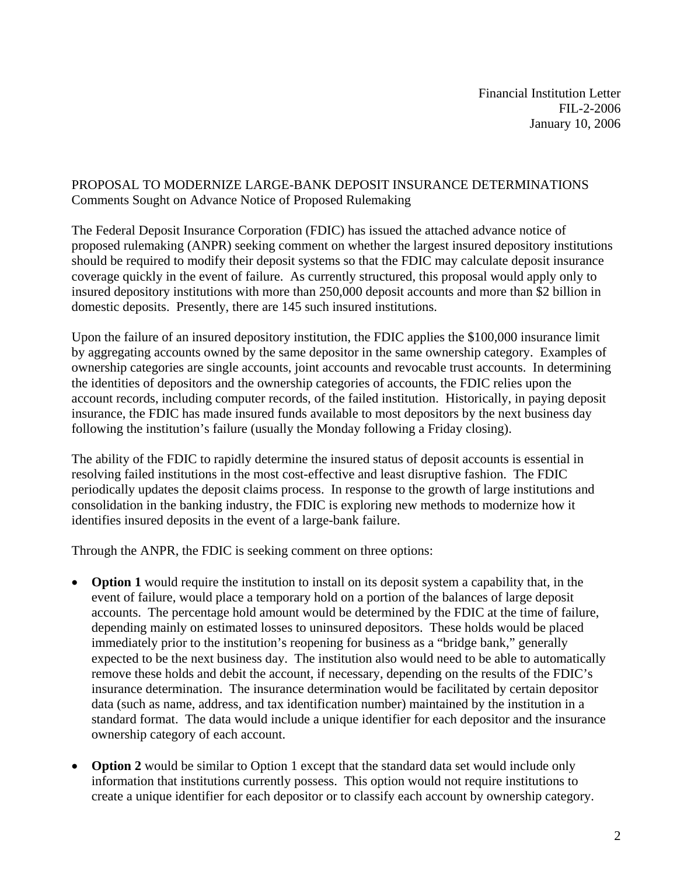## PROPOSAL TO MODERNIZE LARGE-BANK DEPOSIT INSURANCE DETERMINATIONS Comments Sought on Advance Notice of Proposed Rulemaking

The Federal Deposit Insurance Corporation (FDIC) has issued the attached advance notice of proposed rulemaking (ANPR) seeking comment on whether the largest insured depository institutions should be required to modify their deposit systems so that the FDIC may calculate deposit insurance coverage quickly in the event of failure. As currently structured, this proposal would apply only to insured depository institutions with more than 250,000 deposit accounts and more than \$2 billion in domestic deposits. Presently, there are 145 such insured institutions.

Upon the failure of an insured depository institution, the FDIC applies the \$100,000 insurance limit by aggregating accounts owned by the same depositor in the same ownership category. Examples of ownership categories are single accounts, joint accounts and revocable trust accounts. In determining the identities of depositors and the ownership categories of accounts, the FDIC relies upon the account records, including computer records, of the failed institution. Historically, in paying deposit insurance, the FDIC has made insured funds available to most depositors by the next business day following the institution's failure (usually the Monday following a Friday closing).

The ability of the FDIC to rapidly determine the insured status of deposit accounts is essential in resolving failed institutions in the most cost-effective and least disruptive fashion. The FDIC periodically updates the deposit claims process. In response to the growth of large institutions and consolidation in the banking industry, the FDIC is exploring new methods to modernize how it identifies insured deposits in the event of a large-bank failure.

Through the ANPR, the FDIC is seeking comment on three options:

- **Option 1** would require the institution to install on its deposit system a capability that, in the event of failure, would place a temporary hold on a portion of the balances of large deposit accounts. The percentage hold amount would be determined by the FDIC at the time of failure, depending mainly on estimated losses to uninsured depositors. These holds would be placed immediately prior to the institution's reopening for business as a "bridge bank," generally expected to be the next business day. The institution also would need to be able to automatically remove these holds and debit the account, if necessary, depending on the results of the FDIC's insurance determination. The insurance determination would be facilitated by certain depositor data (such as name, address, and tax identification number) maintained by the institution in a standard format. The data would include a unique identifier for each depositor and the insurance ownership category of each account.
- **Option 2** would be similar to Option 1 except that the standard data set would include only information that institutions currently possess. This option would not require institutions to create a unique identifier for each depositor or to classify each account by ownership category.